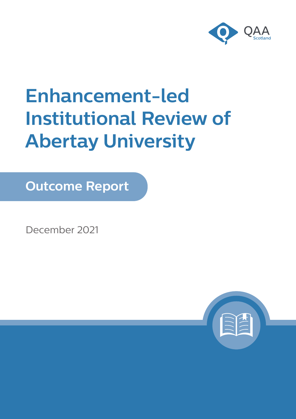

# **Enhancement-led Institutional Review of Abertay University**

**Outcome Report**

December 2021

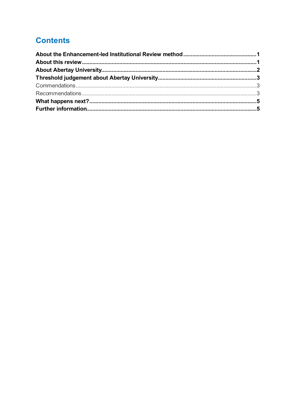# **Contents**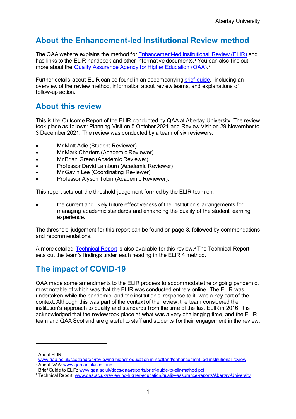# <span id="page-2-0"></span>**About the Enhancement-led Institutional Review method**

The QAA website explains the method for [Enhancement-led Institutional Review \(ELIR\)](http://www.qaa.ac.uk/scotland/en/reviewing-higher-education-in-scotland/enhancement-led-institutional-review) and has links to the ELIR handbook and other informative documents.<sup>[1](#page-2-2)</sup> You can also find out more about the [Quality Assurance Agency for Higher Education \(QAA\)](http://www.qaa.ac.uk/scotland).<sup>[2](#page-2-3)</sup>

Further details about ELIR can be found in an accompanyin[g brief guide,](http://www.qaa.ac.uk/docs/qaa/reports/brief-guide-to-elir-method.pdf)<sup>[3](#page-2-4)</sup> including an overview of the review method, information about review teams, and explanations of follow-up action.

## <span id="page-2-1"></span>**About this review**

This is the Outcome Report of the ELIR conducted by QAA at Abertay University. The review took place as follows: Planning Visit on 5 October 2021 and Review Visit on 29 November to 3 December 2021. The review was conducted by a team of six reviewers:

- Mr Matt Adie (Student Reviewer)
- Mr Mark Charters (Academic Reviewer)
- Mr Brian Green (Academic Reviewer)
- Professor David Lamburn (Academic Reviewer)
- Mr Gavin Lee (Coordinating Reviewer)
- Professor Alyson Tobin (Academic Reviewer).

This report sets out the threshold judgement formed by the ELIR team on:

• the current and likely future effectiveness of the institution's arrangements for managing academic standards and enhancing the quality of the student learning experience.

The threshold judgement for this report can be found on page 3, followed by commendations and recommendations.

A more detailed [Technical](https://www.qaa.ac.uk/reviewing-higher-education/quality-assurance-reports/Abertay-University) Report is also available for this review.[4](#page-2-5) The Technical Report sets out the team's findings under each heading in the ELIR 4 method.

# **The impact of COVID-19**

QAA made some amendments to the ELIR process to accommodate the ongoing pandemic, most notable of which was that the ELIR was conducted entirely online. The ELIR was undertaken while the pandemic, and the institution's response to it, was a key part of the context. Although this was part of the context of the review, the team considered the institution's approach to quality and standards from the time of the last ELIR in 2016. It is acknowledged that the review took place at what was a very challenging time, and the ELIR team and QAA Scotland are grateful to staff and students for their engagement in the review.

<sup>1</sup> About ELIR:

<span id="page-2-2"></span>[www.qaa.ac.uk/scotland/en/reviewing-higher-education-in-scotland/enhancement-led-institutional-review](http://www.qaa.ac.uk/scotland/en/reviewing-higher-education-in-scotland/enhancement-led-institutional-review)<br>
<sup>2</sup> About QAA: www.qaa.ac.uk/scotland.

<span id="page-2-4"></span><span id="page-2-3"></span><sup>&</sup>lt;sup>3</sup> Brief Guide to ELIR: [www.qaa.ac.uk/docs/qaa/reports/brief-guide-to-elir-method.pdf](http://www.qaa.ac.uk/docs/qaa/reports/brief-guide-to-elir-method.pdf)

<span id="page-2-5"></span><sup>4</sup> Technical Report: [www.qaa.ac.uk/reviewing-higher-education/quality-assurance-reports/Abertay-University](https://www.qaa.ac.uk/reviewing-higher-education/quality-assurance-reports/Abertay-University)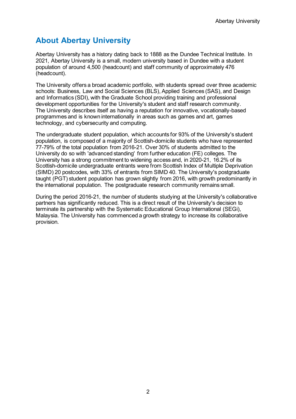# <span id="page-3-0"></span>**About Abertay University**

Abertay University has a history dating back to 1888 as the Dundee Technical Institute. In 2021, Abertay University is a small, modern university based in Dundee with a student population of around 4,500 (headcount) and staff community of approximately 476 (headcount).

The University offers a broad academic portfolio, with students spread over three academic schools: Business, Law and Social Sciences (BLS), Applied Sciences (SAS), and Design and Informatics (SDI), with the Graduate School providing training and professional development opportunities for the University's student and staff research community. The University describes itself as having a reputation for innovative, vocationally-based programmes and is known internationally in areas such as games and art, games technology, and cybersecurity and computing.

The undergraduate student population, which accounts for 93% of the University's student population, is composed of a majority of Scottish-domicile students who have represented 77-79% of the total population from 2016-21. Over 30% of students admitted to the University do so with 'advanced standing' from further education (FE) colleges. The University has a strong commitment to widening access and, in 2020-21, 16.2% of its Scottish-domicile undergraduate entrants were from Scottish Index of Multiple Deprivation (SIMD) 20 postcodes, with 33% of entrants from SIMD 40. The University's postgraduate taught (PGT) student population has grown slightly from 2016, with growth predominantly in the international population. The postgraduate research community remains small.

During the period 2016-21, the number of students studying at the University's collaborative partners has significantly reduced. This is a direct result of the University's decision to terminate its partnership with the Systematic Educational Group International (SEGi), Malaysia. The University has commenced a growth strategy to increase its collaborative provision.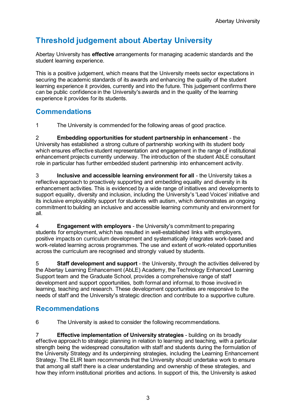# <span id="page-4-0"></span>**Threshold judgement about Abertay University**

Abertay University has **effective** arrangements for managing academic standards and the student learning experience.

This is a positive judgement, which means that the University meets sector expectations in securing the academic standards of its awards and enhancing the quality of the student learning experience it provides, currently and into the future. This judgement confirms there can be public confidence in the University's awards and in the quality of the learning experience it provides for its students.

#### <span id="page-4-1"></span>**Commendations**

1 The University is commended for the following areas of good practice.

2 **Embedding opportunities for student partnership in enhancement** - the University has established a strong culture of partnership working with its student body which ensures effective student representation and engagement in the range of institutional enhancement projects currently underway. The introduction of the student AbLE consultant role in particular has further embedded student partnership into enhancement activity.

3 **Inclusive and accessible learning environment for all** - the University takes a reflective approach to proactively supporting and embedding equality and diversity in its enhancement activities. This is evidenced by a wide range of initiatives and developments to support equality, diversity and inclusion, including the University's 'Lead Voices' initiative and its inclusive employability support for students with autism, which demonstrates an ongoing commitment to building an inclusive and accessible learning community and environment for all.

4 **Engagement with employers** - the University's commitment to preparing students for employment, which has resulted in well-established links with employers, positive impacts on curriculum development and systematically integrates work-based and work-related learning across programmes. The use and extent of work-related opportunities across the curriculum are recognised and strongly valued by students.

5 **Staff development and support** - the University, through the activities delivered by the Abertay Learning Enhancement (AbLE) Academy, the Technology Enhanced Learning Support team and the Graduate School, provides a comprehensive range of staff development and support opportunities, both formal and informal, to those involved in learning, teaching and research. These development opportunities are responsive to the needs of staff and the University's strategic direction and contribute to a supportive culture.

#### <span id="page-4-2"></span>**Recommendations**

6 The University is asked to consider the following recommendations.

7 **Effective implementation of University strategies** - building on its broadly effective approach to strategic planning in relation to learning and teaching, with a particular strength being the widespread consultation with staff and students during the formulation of the University Strategy and its underpinning strategies, including the Learning Enhancement Strategy. The ELIR team recommends that the University should undertake work to ensure that among all staff there is a clear understanding and ownership of these strategies, and how they inform institutional priorities and actions. In support of this, the University is asked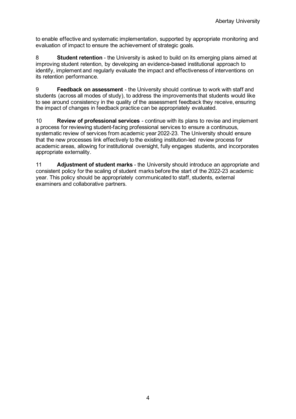to enable effective and systematic implementation, supported by appropriate monitoring and evaluation of impact to ensure the achievement of strategic goals.

8 **Student retention** - the University is asked to build on its emerging plans aimed at improving student retention, by developing an evidence-based institutional approach to identify, implement and regularly evaluate the impact and effectiveness of interventions on its retention performance.

9 **Feedback on assessment** - the University should continue to work with staff and students (across all modes of study), to address the improvements that students would like to see around consistency in the quality of the assessment feedback they receive, ensuring the impact of changes in feedback practice can be appropriately evaluated.

10 **Review of professional services** - continue with its plans to revise and implement a process for reviewing student-facing professional services to ensure a continuous, systematic review of services from academic year 2022-23. The University should ensure that the new processes link effectively to the existing institution-led review process for academic areas, allowing for institutional oversight, fully engages students, and incorporates appropriate externality.

11 **Adjustment of student marks** - the University should introduce an appropriate and consistent policy for the scaling of student marks before the start of the 2022-23 academic year. This policy should be appropriately communicated to staff, students, external examiners and collaborative partners.